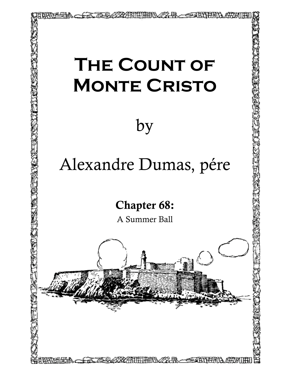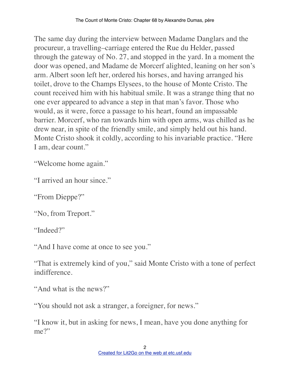The same day during the interview between Madame Danglars and the procureur, a travelling–carriage entered the Rue du Helder, passed through the gateway of No. 27, and stopped in the yard. In a moment the door was opened, and Madame de Morcerf alighted, leaning on her son's arm. Albert soon left her, ordered his horses, and having arranged his toilet, drove to the Champs Elysees, to the house of Monte Cristo. The count received him with his habitual smile. It was a strange thing that no one ever appeared to advance a step in that man's favor. Those who would, as it were, force a passage to his heart, found an impassable barrier. Morcerf, who ran towards him with open arms, was chilled as he drew near, in spite of the friendly smile, and simply held out his hand. Monte Cristo shook it coldly, according to his invariable practice. "Here I am, dear count."

"Welcome home again."

"I arrived an hour since."

"From Dieppe?"

"No, from Treport."

"Indeed?"

"And I have come at once to see you."

"That is extremely kind of you," said Monte Cristo with a tone of perfect indifference.

"And what is the news?"

"You should not ask a stranger, a foreigner, for news."

"I know it, but in asking for news, I mean, have you done anything for me?"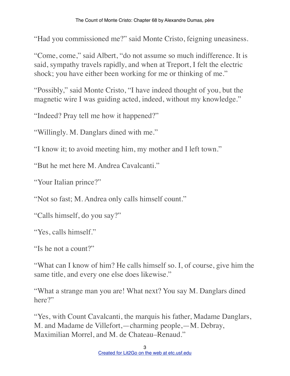"Had you commissioned me?" said Monte Cristo, feigning uneasiness.

"Come, come," said Albert, "do not assume so much indifference. It is said, sympathy travels rapidly, and when at Treport, I felt the electric shock; you have either been working for me or thinking of me."

"Possibly," said Monte Cristo, "I have indeed thought of you, but the magnetic wire I was guiding acted, indeed, without my knowledge."

"Indeed? Pray tell me how it happened?"

"Willingly. M. Danglars dined with me."

"I know it; to avoid meeting him, my mother and I left town."

"But he met here M. Andrea Cavalcanti."

"Your Italian prince?"

"Not so fast; M. Andrea only calls himself count."

"Calls himself, do you say?"

"Yes, calls himself."

"Is he not a count?"

"What can I know of him? He calls himself so. I, of course, give him the same title, and every one else does likewise."

"What a strange man you are! What next? You say M. Danglars dined here?"

"Yes, with Count Cavalcanti, the marquis his father, Madame Danglars, M. and Madame de Villefort,—charming people,—M. Debray, Maximilian Morrel, and M. de Chateau–Renaud."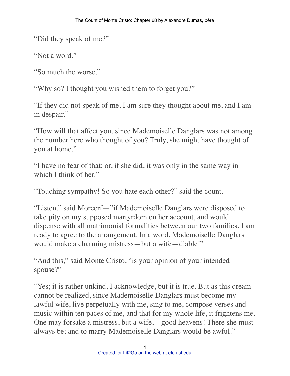"Did they speak of me?"

"Not a word."

"So much the worse."

"Why so? I thought you wished them to forget you?"

"If they did not speak of me, I am sure they thought about me, and I am in despair."

"How will that affect you, since Mademoiselle Danglars was not among the number here who thought of you? Truly, she might have thought of you at home."

"I have no fear of that; or, if she did, it was only in the same way in which I think of her."

"Touching sympathy! So you hate each other?" said the count.

"Listen," said Morcerf—"if Mademoiselle Danglars were disposed to take pity on my supposed martyrdom on her account, and would dispense with all matrimonial formalities between our two families, I am ready to agree to the arrangement. In a word, Mademoiselle Danglars would make a charming mistress—but a wife—diable!"

"And this," said Monte Cristo, "is your opinion of your intended spouse?"

"Yes; it is rather unkind, I acknowledge, but it is true. But as this dream cannot be realized, since Mademoiselle Danglars must become my lawful wife, live perpetually with me, sing to me, compose verses and music within ten paces of me, and that for my whole life, it frightens me. One may forsake a mistress, but a wife,—good heavens! There she must always be; and to marry Mademoiselle Danglars would be awful."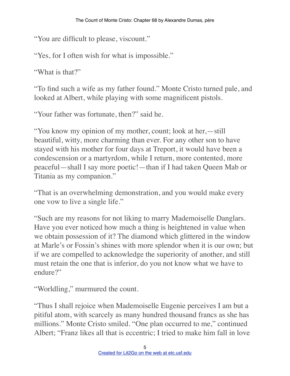"You are difficult to please, viscount."

"Yes, for I often wish for what is impossible."

"What is that?"

"To find such a wife as my father found." Monte Cristo turned pale, and looked at Albert, while playing with some magnificent pistols.

"Your father was fortunate, then?" said he.

"You know my opinion of my mother, count; look at her,—still beautiful, witty, more charming than ever. For any other son to have stayed with his mother for four days at Treport, it would have been a condescension or a martyrdom, while I return, more contented, more peaceful—shall I say more poetic!—than if I had taken Queen Mab or Titania as my companion."

"That is an overwhelming demonstration, and you would make every one vow to live a single life."

"Such are my reasons for not liking to marry Mademoiselle Danglars. Have you ever noticed how much a thing is heightened in value when we obtain possession of it? The diamond which glittered in the window at Marle's or Fossin's shines with more splendor when it is our own; but if we are compelled to acknowledge the superiority of another, and still must retain the one that is inferior, do you not know what we have to endure?"

"Worldling," murmured the count.

"Thus I shall rejoice when Mademoiselle Eugenie perceives I am but a pitiful atom, with scarcely as many hundred thousand francs as she has millions." Monte Cristo smiled. "One plan occurred to me," continued Albert; "Franz likes all that is eccentric; I tried to make him fall in love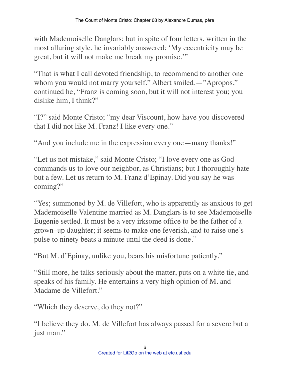with Mademoiselle Danglars; but in spite of four letters, written in the most alluring style, he invariably answered: 'My eccentricity may be great, but it will not make me break my promise.'"

"That is what I call devoted friendship, to recommend to another one whom you would not marry yourself." Albert smiled.—"Apropos," continued he, "Franz is coming soon, but it will not interest you; you dislike him, I think?"

"I?" said Monte Cristo; "my dear Viscount, how have you discovered that I did not like M. Franz! I like every one."

"And you include me in the expression every one—many thanks!"

"Let us not mistake," said Monte Cristo; "I love every one as God commands us to love our neighbor, as Christians; but I thoroughly hate but a few. Let us return to M. Franz d'Epinay. Did you say he was coming?"

"Yes; summoned by M. de Villefort, who is apparently as anxious to get Mademoiselle Valentine married as M. Danglars is to see Mademoiselle Eugenie settled. It must be a very irksome office to be the father of a grown–up daughter; it seems to make one feverish, and to raise one's pulse to ninety beats a minute until the deed is done."

"But M. d'Epinay, unlike you, bears his misfortune patiently."

"Still more, he talks seriously about the matter, puts on a white tie, and speaks of his family. He entertains a very high opinion of M. and Madame de Villefort."

"Which they deserve, do they not?"

"I believe they do. M. de Villefort has always passed for a severe but a just man."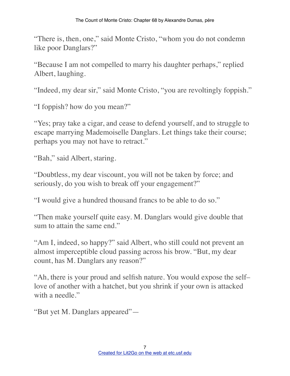"There is, then, one," said Monte Cristo, "whom you do not condemn like poor Danglars?"

"Because I am not compelled to marry his daughter perhaps," replied Albert, laughing.

"Indeed, my dear sir," said Monte Cristo, "you are revoltingly foppish."

"I foppish? how do you mean?"

"Yes; pray take a cigar, and cease to defend yourself, and to struggle to escape marrying Mademoiselle Danglars. Let things take their course; perhaps you may not have to retract."

"Bah," said Albert, staring.

"Doubtless, my dear viscount, you will not be taken by force; and seriously, do you wish to break off your engagement?"

"I would give a hundred thousand francs to be able to do so."

"Then make yourself quite easy. M. Danglars would give double that sum to attain the same end."

"Am I, indeed, so happy?" said Albert, who still could not prevent an almost imperceptible cloud passing across his brow. "But, my dear count, has M. Danglars any reason?"

"Ah, there is your proud and selfish nature. You would expose the self– love of another with a hatchet, but you shrink if your own is attacked with a needle."

"But yet M. Danglars appeared"—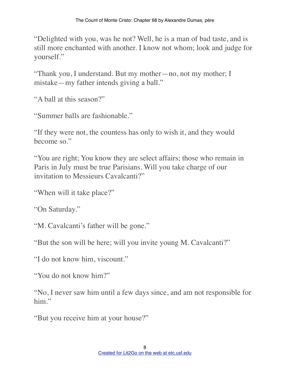"Delighted with you, was he not? Well, he is a man of bad taste, and is still more enchanted with another. I know not whom; look and judge for yourself."

"Thank you, I understand. But my mother—no, not my mother; I mistake—my father intends giving a ball."

"A ball at this season?"

"Summer balls are fashionable."

"If they were not, the countess has only to wish it, and they would become so."

"You are right; You know they are select affairs; those who remain in Paris in July must be true Parisians. Will you take charge of our invitation to Messieurs Cavalcanti?"

"When will it take place?"

"On Saturday."

"M. Cavalcanti's father will be gone."

"But the son will be here; will you invite young M. Cavalcanti?"

"I do not know him, viscount."

"You do not know him?"

"No, I never saw him until a few days since, and am not responsible for him."

"But you receive him at your house?"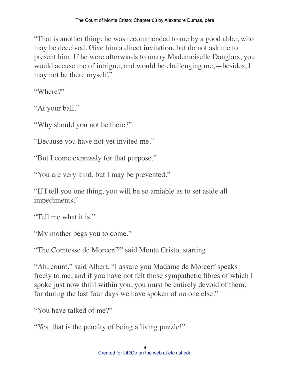"That is another thing: he was recommended to me by a good abbe, who may be deceived. Give him a direct invitation, but do not ask me to present him. If he were afterwards to marry Mademoiselle Danglars, you would accuse me of intrigue, and would be challenging me,—besides, I may not be there myself."

"Where?"

"At your ball."

"Why should you not be there?"

"Because you have not yet invited me."

"But I come expressly for that purpose."

"You are very kind, but I may be prevented."

"If I tell you one thing, you will be so amiable as to set aside all impediments."

"Tell me what it is."

"My mother begs you to come."

"The Comtesse de Morcerf?" said Monte Cristo, starting.

"Ah, count," said Albert, "I assure you Madame de Morcerf speaks freely to me, and if you have not felt those sympathetic fibres of which I spoke just now thrill within you, you must be entirely devoid of them, for during the last four days we have spoken of no one else."

"You have talked of me?"

"Yes, that is the penalty of being a living puzzle!"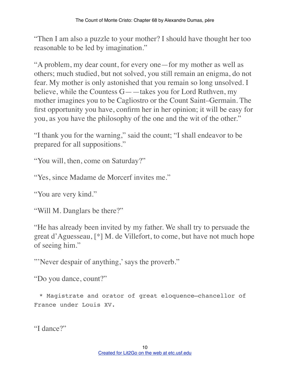"Then I am also a puzzle to your mother? I should have thought her too reasonable to be led by imagination."

"A problem, my dear count, for every one—for my mother as well as others; much studied, but not solved, you still remain an enigma, do not fear. My mother is only astonished that you remain so long unsolved. I believe, while the Countess G——takes you for Lord Ruthven, my mother imagines you to be Cagliostro or the Count Saint–Germain. The first opportunity you have, confirm her in her opinion; it will be easy for you, as you have the philosophy of the one and the wit of the other."

"I thank you for the warning," said the count; "I shall endeavor to be prepared for all suppositions."

"You will, then, come on Saturday?"

"Yes, since Madame de Morcerf invites me."

"You are very kind."

"Will M. Danglars be there?"

"He has already been invited by my father. We shall try to persuade the great d'Aguesseau, [\*] M. de Villefort, to come, but have not much hope of seeing him."

"'Never despair of anything,' says the proverb."

"Do you dance, count?"

\* Magistrate and orator of great eloquence—chancellor of France under Louis XV.

"I dance?"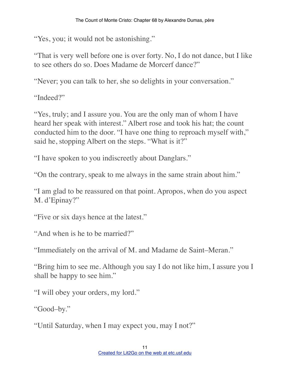"Yes, you; it would not be astonishing."

"That is very well before one is over forty. No, I do not dance, but I like to see others do so. Does Madame de Morcerf dance?"

"Never; you can talk to her, she so delights in your conversation."

"Indeed?"

"Yes, truly; and I assure you. You are the only man of whom I have heard her speak with interest." Albert rose and took his hat; the count conducted him to the door. "I have one thing to reproach myself with," said he, stopping Albert on the steps. "What is it?"

"I have spoken to you indiscreetly about Danglars."

"On the contrary, speak to me always in the same strain about him."

"I am glad to be reassured on that point. Apropos, when do you aspect M. d'Epinay?"

"Five or six days hence at the latest."

"And when is he to be married?"

"Immediately on the arrival of M. and Madame de Saint–Meran."

"Bring him to see me. Although you say I do not like him, I assure you I shall be happy to see him."

"I will obey your orders, my lord."

"Good–by."

"Until Saturday, when I may expect you, may I not?"